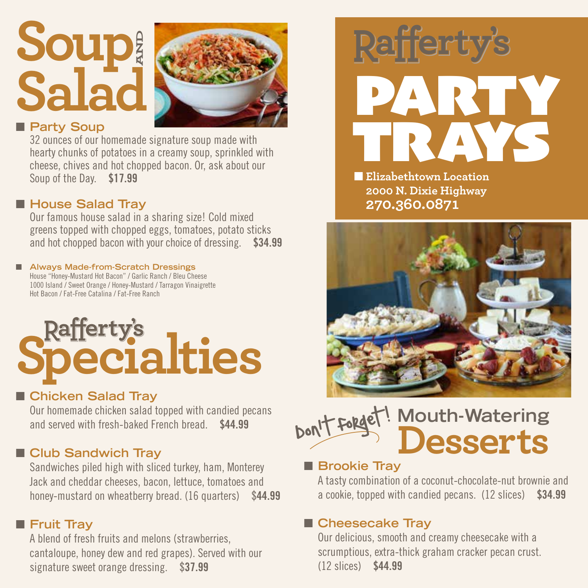## **Soup Salad AND**



#### **n** Party Soup

32 ounces of our homemade signature soup made with hearty chunks of potatoes in a creamy soup, sprinkled with cheese, chives and hot chopped bacon. Or, ask about our Soup of the Day. \$17.99

#### ■ House Salad Tray

Our famous house salad in a sharing size! Cold mixed greens topped with chopped eggs, tomatoes, potato sticks and hot chopped bacon with your choice of dressing. \$34.99

#### ■ Always Made-from-Scratch Dressings House "Honey-Mustard Hot Bacon" / Garlic Ranch / Bleu Cheese

1000 Island / Sweet Orange / Honey-Mustard / Tarragon Vinaigrette Hot Bacon / Fat-Free Catalina / Fat-Free Ranch

# **Rafferty's**<br>**Pecialties**

#### ■ Chicken Salad Tray

Our homemade chicken salad topped with candied pecans and served with fresh-baked French bread. \$44.99

#### **n** Club Sandwich Tray

Sandwiches piled high with sliced turkey, ham, Monterey Jack and cheddar cheeses, bacon, lettuce, tomatoes and honey-mustard on wheatberry bread. (16 quarters) \$44.99

#### **n** Fruit Tray

A blend of fresh fruits and melons (strawberries, cantaloupe, honey dew and red grapes). Served with our signature sweet orange dressing. \$37.99



 $\blacksquare$  **Elizabethtown Location 2000 N. Dixie Highway 270.360.0871**



#### **Mouth-Watering Desserts** Don't forget!  $\overline{\phantom{a}}$

#### **n** Brookie Tray

A tasty combination of a coconut-chocolate-nut brownie and a cookie, topped with candied pecans. (12 slices) \$34.99

#### ■ Cheesecake Tray

Our delicious, smooth and creamy cheesecake with a scrumptious, extra-thick graham cracker pecan crust. (12 slices) \$44.99